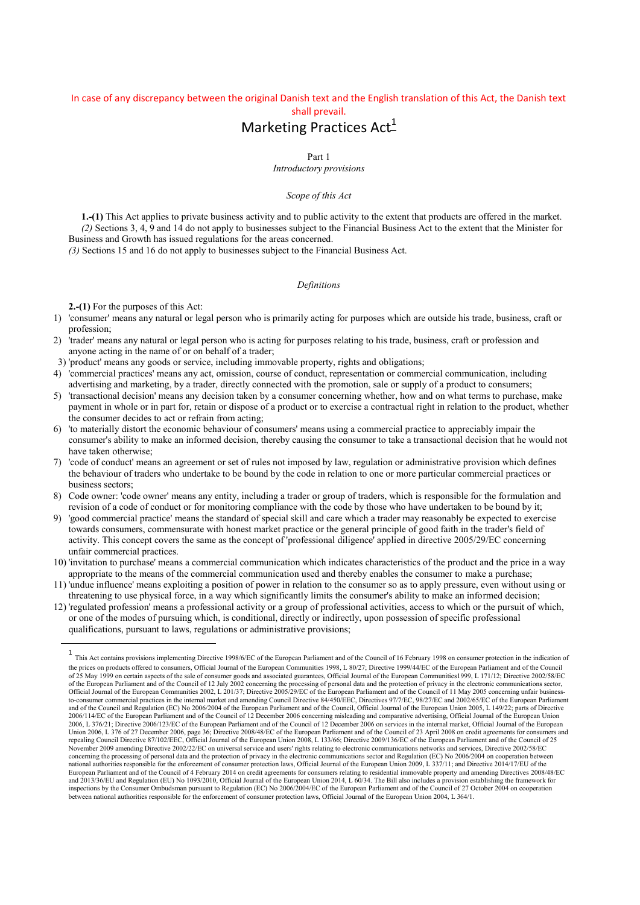## In case of any discrepancy between the original Danish text and the English translation of this Act, the Danish text shall prevail.

# Marketing Practices  $Act_{-}^{1}$

Part 1

*Introductory provisions*

## *Scope of this Act*

**1.-(1)** This Act applies to private business activity and to public activity to the extent that products are offered in the market. *(2)* Sections 3, 4, 9 and 14 do not apply to businesses subject to the Financial Business Act to the extent that the Minister for Business and Growth has issued regulations for the areas concerned.

*(3)* Sections 15 and 16 do not apply to businesses subject to the Financial Business Act.

### *Definitions*

**2.-(1)** For the purposes of this Act:

1

- 1) 'consumer' means any natural or legal person who is primarily acting for purposes which are outside his trade, business, craft or profession;
- 2) 'trader' means any natural or legal person who is acting for purposes relating to his trade, business, craft or profession and anyone acting in the name of or on behalf of a trader;
- 3) 'product' means any goods or service, including immovable property, rights and obligations;
- 4) 'commercial practices' means any act, omission, course of conduct, representation or commercial communication, including advertising and marketing, by a trader, directly connected with the promotion, sale or supply of a product to consumers;
- 5) 'transactional decision' means any decision taken by a consumer concerning whether, how and on what terms to purchase, make payment in whole or in part for, retain or dispose of a product or to exercise a contractual right in relation to the product, whether the consumer decides to act or refrain from acting;
- 6) 'to materially distort the economic behaviour of consumers' means using a commercial practice to appreciably impair the consumer's ability to make an informed decision, thereby causing the consumer to take a transactional decision that he would not have taken otherwise;
- 7) 'code of conduct' means an agreement or set of rules not imposed by law, regulation or administrative provision which defines the behaviour of traders who undertake to be bound by the code in relation to one or more particular commercial practices or business sectors;
- 8) Code owner: 'code owner' means any entity, including a trader or group of traders, which is responsible for the formulation and revision of a code of conduct or for monitoring compliance with the code by those who have undertaken to be bound by it;
- 9) 'good commercial practice' means the standard of special skill and care which a trader may reasonably be expected to exercise towards consumers, commensurate with honest market practice or the general principle of good faith in the trader's field of activity. This concept covers the same as the concept of 'professional diligence' applied in directive 2005/29/EC concerning unfair commercial practices.
- 10) 'invitation to purchase' means a commercial communication which indicates characteristics of the product and the price in a way appropriate to the means of the commercial communication used and thereby enables the consumer to make a purchase;
- 11) 'undue influence' means exploiting a position of power in relation to the consumer so as to apply pressure, even without using or threatening to use physical force, in a way which significantly limits the consumer's ability to make an informed decision;
- 12) 'regulated profession' means a professional activity or a group of professional activities, access to which or the pursuit of which, or one of the modes of pursuing which, is conditional, directly or indirectly, upon possession of specific professional qualifications, pursuant to laws, regulations or administrative provisions;

<sup>1</sup> This Act contains provisions implementing Directive 1998/6/EC of the European Parliament and of the Council of 16 February 1998 on consumer protection in the indication of the prices on products offered to consumers, Official Journal of the European Communities 1998, L 80/27; Directive 1999/44/EC of the European Parliament and of the Council of 25 May 1999 on certain aspects of the sale of consumer goods and associated guarantees, Official Journal of the European Communities1999, L 171/12; Directive 2002/58/EC of the European Parliament and of the Council of 12 July 2002 concerning the processing of personal data and the protection of privacy in the electronic communications sector,<br>Official Journal of the European Communities 2 and of the Council and Regulation (EC) No 2006/2004 of the European Parliament and of the Council, Official Journal of the European Union 2005, L 149/22; parts of Directive 2006/114/EC of the European Parliament and of the Council of 12 December 2006 concerning misleading and comparative advertising, Official Journal of the European Union<br>2006, L 376/21; Directive 2006/123/EC of the European Union 2006, L 376 of 27 December 2006, page 36; Directive 2008/48/EC of the European Parliament and of the Council of 23 April 2008 on credit agreements for consumers and<br>repealing Council Directive 87/102/EEC, Official Jo concerning the processing of personal data and the protection of privacy in the electronic communications sector and Regulation (EC) No 2006/2004 on cooperation between<br>national authorities responsible for the enforcement European Parliament and of the Council of 4 February 2014 on credit agreements for consumers relating to residential immovable property and amending Directives 2008/48/EC and 2013/36/EU and Regulation (EU) No 1093/2010, Official Journal of the European Union 2014, L 60/34. The Bill also includes a provision establishing the framework for<br>inspections by the Consumer Ombudsman pursuant to Reg between national authorities responsible for the enforcement of consumer protection laws, Official Journal of the European Union 2004, L 364/1.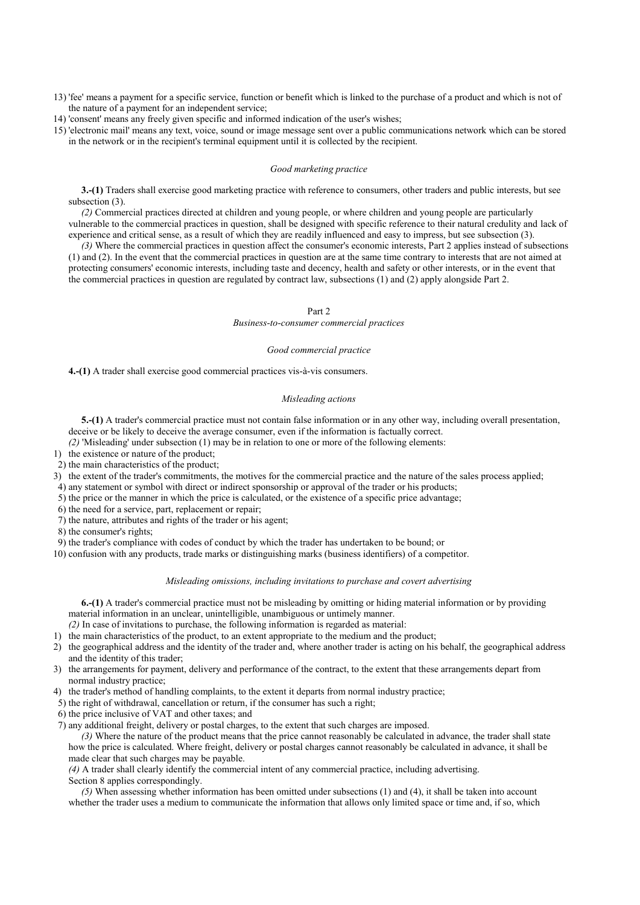13) 'fee' means a payment for a specific service, function or benefit which is linked to the purchase of a product and which is not of the nature of a payment for an independent service;

14) 'consent' means any freely given specific and informed indication of the user's wishes;

15) 'electronic mail' means any text, voice, sound or image message sent over a public communications network which can be stored in the network or in the recipient's terminal equipment until it is collected by the recipient.

### *Good marketing practice*

**3.-(1)** Traders shall exercise good marketing practice with reference to consumers, other traders and public interests, but see subsection (3).

*(2)* Commercial practices directed at children and young people, or where children and young people are particularly vulnerable to the commercial practices in question, shall be designed with specific reference to their natural credulity and lack of experience and critical sense, as a result of which they are readily influenced and easy to impress, but see subsection (3).

*(3)* Where the commercial practices in question affect the consumer's economic interests, Part 2 applies instead of subsections (1) and (2). In the event that the commercial practices in question are at the same time contrary to interests that are not aimed at protecting consumers' economic interests, including taste and decency, health and safety or other interests, or in the event that the commercial practices in question are regulated by contract law, subsections (1) and (2) apply alongside Part 2.

### Part 2

*Business-to-consumer commercial practices*

### *Good commercial practice*

**4.-(1)** A trader shall exercise good commercial practices vis-à-vis consumers.

### *Misleading actions*

**5.-(1)** A trader's commercial practice must not contain false information or in any other way, including overall presentation, deceive or be likely to deceive the average consumer, even if the information is factually correct.

*(2)* 'Misleading' under subsection (1) may be in relation to one or more of the following elements:

1) the existence or nature of the product;

2) the main characteristics of the product;

3) the extent of the trader's commitments, the motives for the commercial practice and the nature of the sales process applied;

4) any statement or symbol with direct or indirect sponsorship or approval of the trader or his products;

5) the price or the manner in which the price is calculated, or the existence of a specific price advantage;

6) the need for a service, part, replacement or repair;

7) the nature, attributes and rights of the trader or his agent;

8) the consumer's rights;

9) the trader's compliance with codes of conduct by which the trader has undertaken to be bound; or

10) confusion with any products, trade marks or distinguishing marks (business identifiers) of a competitor.

### *Misleading omissions, including invitations to purchase and covert advertising*

**6.-(1)** A trader's commercial practice must not be misleading by omitting or hiding material information or by providing material information in an unclear, unintelligible, unambiguous or untimely manner.

*(2)* In case of invitations to purchase, the following information is regarded as material:

1) the main characteristics of the product, to an extent appropriate to the medium and the product;

- 2) the geographical address and the identity of the trader and, where another trader is acting on his behalf, the geographical address and the identity of this trader;
- 3) the arrangements for payment, delivery and performance of the contract, to the extent that these arrangements depart from normal industry practice;
- 4) the trader's method of handling complaints, to the extent it departs from normal industry practice;
- 5) the right of withdrawal, cancellation or return, if the consumer has such a right;
- 6) the price inclusive of VAT and other taxes; and
- 7) any additional freight, delivery or postal charges, to the extent that such charges are imposed.

*(3)* Where the nature of the product means that the price cannot reasonably be calculated in advance, the trader shall state how the price is calculated. Where freight, delivery or postal charges cannot reasonably be calculated in advance, it shall be made clear that such charges may be payable.

*(4)* A trader shall clearly identify the commercial intent of any commercial practice, including advertising. Section 8 applies correspondingly.

*(5)* When assessing whether information has been omitted under subsections (1) and (4), it shall be taken into account whether the trader uses a medium to communicate the information that allows only limited space or time and, if so, which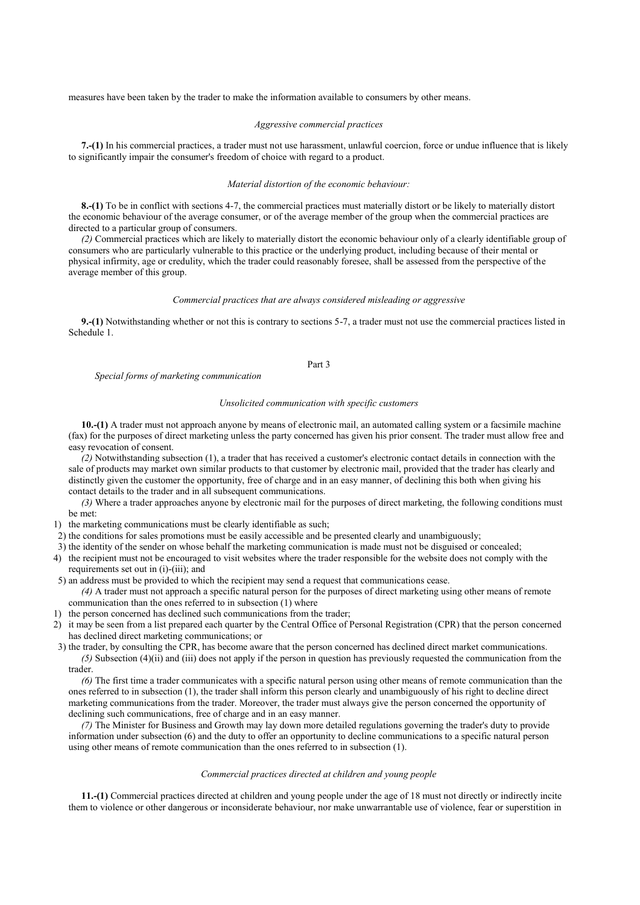measures have been taken by the trader to make the information available to consumers by other means.

### *Aggressive commercial practices*

**7.-(1)** In his commercial practices, a trader must not use harassment, unlawful coercion, force or undue influence that is likely to significantly impair the consumer's freedom of choice with regard to a product.

## *Material distortion of the economic behaviour:*

**8.-(1)** To be in conflict with sections 4-7, the commercial practices must materially distort or be likely to materially distort the economic behaviour of the average consumer, or of the average member of the group when the commercial practices are directed to a particular group of consumers.

*(2)* Commercial practices which are likely to materially distort the economic behaviour only of a clearly identifiable group of consumers who are particularly vulnerable to this practice or the underlying product, including because of their mental or physical infirmity, age or credulity, which the trader could reasonably foresee, shall be assessed from the perspective of the average member of this group.

## *Commercial practices that are always considered misleading or aggressive*

**9.-(1)** Notwithstanding whether or not this is contrary to sections 5-7, a trader must not use the commercial practices listed in Schedule 1.

### Part 3

*Special forms of marketing communication*

### *Unsolicited communication with specific customers*

**10.-(1)** A trader must not approach anyone by means of electronic mail, an automated calling system or a facsimile machine (fax) for the purposes of direct marketing unless the party concerned has given his prior consent. The trader must allow free and easy revocation of consent.

*(2)* Notwithstanding subsection (1), a trader that has received a customer's electronic contact details in connection with the sale of products may market own similar products to that customer by electronic mail, provided that the trader has clearly and distinctly given the customer the opportunity, free of charge and in an easy manner, of declining this both when giving his contact details to the trader and in all subsequent communications.

*(3)* Where a trader approaches anyone by electronic mail for the purposes of direct marketing, the following conditions must be met:

- 1) the marketing communications must be clearly identifiable as such;
- 2) the conditions for sales promotions must be easily accessible and be presented clearly and unambiguously;
- 3) the identity of the sender on whose behalf the marketing communication is made must not be disguised or concealed;
- 4) the recipient must not be encouraged to visit websites where the trader responsible for the website does not comply with the requirements set out in (i)-(iii); and

5) an address must be provided to which the recipient may send a request that communications cease. *(4)* A trader must not approach a specific natural person for the purposes of direct marketing using other means of remote communication than the ones referred to in subsection (1) where

- 1) the person concerned has declined such communications from the trader;
- 2) it may be seen from a list prepared each quarter by the Central Office of Personal Registration (CPR) that the person concerned has declined direct marketing communications; or
- 3) the trader, by consulting the CPR, has become aware that the person concerned has declined direct market communications. *(5)* Subsection (4)(ii) and (iii) does not apply if the person in question has previously requested the communication from the trader.

*(6)* The first time a trader communicates with a specific natural person using other means of remote communication than the ones referred to in subsection (1), the trader shall inform this person clearly and unambiguously of his right to decline direct marketing communications from the trader. Moreover, the trader must always give the person concerned the opportunity of declining such communications, free of charge and in an easy manner.

*(7)* The Minister for Business and Growth may lay down more detailed regulations governing the trader's duty to provide information under subsection (6) and the duty to offer an opportunity to decline communications to a specific natural person using other means of remote communication than the ones referred to in subsection (1).

## *Commercial practices directed at children and young people*

**11.-(1)** Commercial practices directed at children and young people under the age of 18 must not directly or indirectly incite them to violence or other dangerous or inconsiderate behaviour, nor make unwarrantable use of violence, fear or superstition in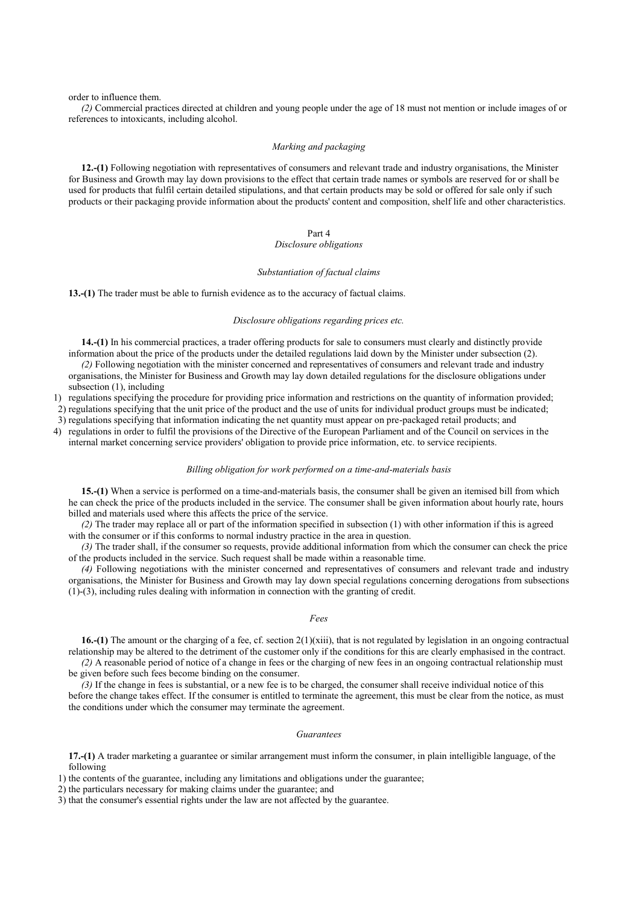order to influence them.

*(2)* Commercial practices directed at children and young people under the age of 18 must not mention or include images of or references to intoxicants, including alcohol.

### *Marking and packaging*

**12.-(1)** Following negotiation with representatives of consumers and relevant trade and industry organisations, the Minister for Business and Growth may lay down provisions to the effect that certain trade names or symbols are reserved for or shall be used for products that fulfil certain detailed stipulations, and that certain products may be sold or offered for sale only if such products or their packaging provide information about the products' content and composition, shelf life and other characteristics.

### Part 4

## *Disclosure obligations*

#### *Substantiation of factual claims*

**13.-(1)** The trader must be able to furnish evidence as to the accuracy of factual claims.

### *Disclosure obligations regarding prices etc.*

**14.-(1)** In his commercial practices, a trader offering products for sale to consumers must clearly and distinctly provide information about the price of the products under the detailed regulations laid down by the Minister under subsection (2).

*(2)* Following negotiation with the minister concerned and representatives of consumers and relevant trade and industry organisations, the Minister for Business and Growth may lay down detailed regulations for the disclosure obligations under subsection (1), including

1) regulations specifying the procedure for providing price information and restrictions on the quantity of information provided;

2) regulations specifying that the unit price of the product and the use of units for individual product groups must be indicated;

3) regulations specifying that information indicating the net quantity must appear on pre-packaged retail products; and

4) regulations in order to fulfil the provisions of the Directive of the European Parliament and of the Council on services in the internal market concerning service providers' obligation to provide price information, etc. to service recipients.

#### *Billing obligation for work performed on a time-and-materials basis*

**15.-(1)** When a service is performed on a time-and-materials basis, the consumer shall be given an itemised bill from which he can check the price of the products included in the service. The consumer shall be given information about hourly rate, hours billed and materials used where this affects the price of the service.

*(2)* The trader may replace all or part of the information specified in subsection (1) with other information if this is agreed with the consumer or if this conforms to normal industry practice in the area in question.

*(3)* The trader shall, if the consumer so requests, provide additional information from which the consumer can check the price of the products included in the service. Such request shall be made within a reasonable time.

*(4)* Following negotiations with the minister concerned and representatives of consumers and relevant trade and industry organisations, the Minister for Business and Growth may lay down special regulations concerning derogations from subsections (1)-(3), including rules dealing with information in connection with the granting of credit.

## *Fees*

**16.-(1)** The amount or the charging of a fee, cf. section 2(1)(xiii), that is not regulated by legislation in an ongoing contractual relationship may be altered to the detriment of the customer only if the conditions for this are clearly emphasised in the contract.

*(2)* A reasonable period of notice of a change in fees or the charging of new fees in an ongoing contractual relationship must be given before such fees become binding on the consumer.

*(3)* If the change in fees is substantial, or a new fee is to be charged, the consumer shall receive individual notice of this before the change takes effect. If the consumer is entitled to terminate the agreement, this must be clear from the notice, as must the conditions under which the consumer may terminate the agreement.

## *Guarantees*

**17.-(1)** A trader marketing a guarantee or similar arrangement must inform the consumer, in plain intelligible language, of the following

1) the contents of the guarantee, including any limitations and obligations under the guarantee;

2) the particulars necessary for making claims under the guarantee; and

3) that the consumer's essential rights under the law are not affected by the guarantee.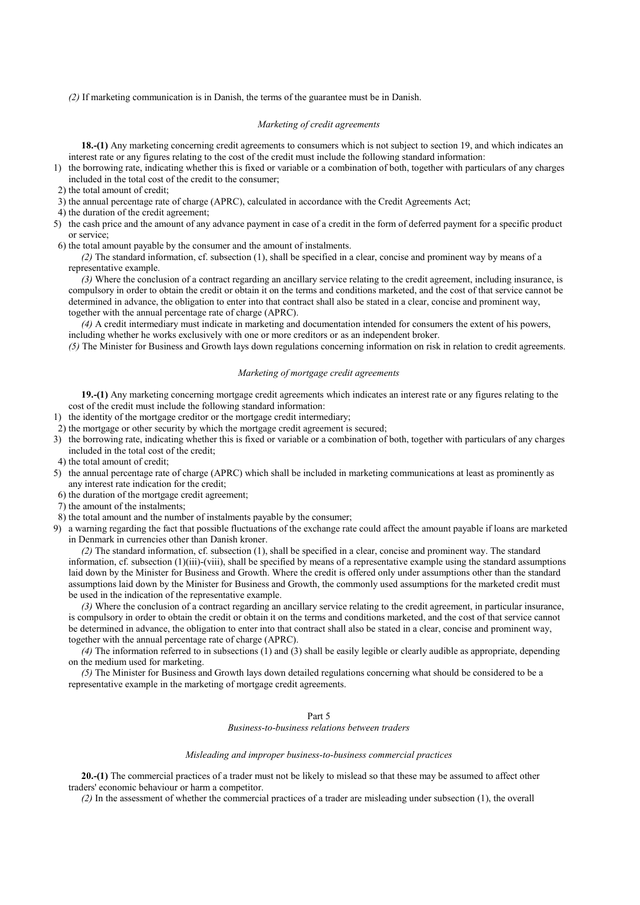*(2)* If marketing communication is in Danish, the terms of the guarantee must be in Danish.

## *Marketing of credit agreements*

**18.-(1)** Any marketing concerning credit agreements to consumers which is not subject to section 19, and which indicates an interest rate or any figures relating to the cost of the credit must include the following standard information:

- 1) the borrowing rate, indicating whether this is fixed or variable or a combination of both, together with particulars of any charges included in the total cost of the credit to the consumer;
- 2) the total amount of credit;
- 3) the annual percentage rate of charge (APRC), calculated in accordance with the Credit Agreements Act;
- 4) the duration of the credit agreement;
- 5) the cash price and the amount of any advance payment in case of a credit in the form of deferred payment for a specific product or service;

6) the total amount payable by the consumer and the amount of instalments.

*(2)* The standard information, cf. subsection (1), shall be specified in a clear, concise and prominent way by means of a representative example.

*(3)* Where the conclusion of a contract regarding an ancillary service relating to the credit agreement, including insurance, is compulsory in order to obtain the credit or obtain it on the terms and conditions marketed, and the cost of that service cannot be determined in advance, the obligation to enter into that contract shall also be stated in a clear, concise and prominent way, together with the annual percentage rate of charge (APRC).

*(4)* A credit intermediary must indicate in marketing and documentation intended for consumers the extent of his powers, including whether he works exclusively with one or more creditors or as an independent broker.

*(5)* The Minister for Business and Growth lays down regulations concerning information on risk in relation to credit agreements.

## *Marketing of mortgage credit agreements*

**19.-(1)** Any marketing concerning mortgage credit agreements which indicates an interest rate or any figures relating to the cost of the credit must include the following standard information:

- 1) the identity of the mortgage creditor or the mortgage credit intermediary;
- 2) the mortgage or other security by which the mortgage credit agreement is secured;
- 3) the borrowing rate, indicating whether this is fixed or variable or a combination of both, together with particulars of any charges included in the total cost of the credit;
- 4) the total amount of credit;
- 5) the annual percentage rate of charge (APRC) which shall be included in marketing communications at least as prominently as any interest rate indication for the credit;
- 6) the duration of the mortgage credit agreement;
- 7) the amount of the instalments;
- 8) the total amount and the number of instalments payable by the consumer;
- 9) a warning regarding the fact that possible fluctuations of the exchange rate could affect the amount payable if loans are marketed in Denmark in currencies other than Danish kroner.

*(2)* The standard information, cf. subsection (1), shall be specified in a clear, concise and prominent way. The standard information, cf. subsection  $(1)(iii)$ -(viii), shall be specified by means of a representative example using the standard assumptions laid down by the Minister for Business and Growth. Where the credit is offered only under assumptions other than the standard assumptions laid down by the Minister for Business and Growth, the commonly used assumptions for the marketed credit must be used in the indication of the representative example.

*(3)* Where the conclusion of a contract regarding an ancillary service relating to the credit agreement, in particular insurance, is compulsory in order to obtain the credit or obtain it on the terms and conditions marketed, and the cost of that service cannot be determined in advance, the obligation to enter into that contract shall also be stated in a clear, concise and prominent way, together with the annual percentage rate of charge (APRC).

*(4)* The information referred to in subsections (1) and (3) shall be easily legible or clearly audible as appropriate, depending on the medium used for marketing.

*(5)* The Minister for Business and Growth lays down detailed regulations concerning what should be considered to be a representative example in the marketing of mortgage credit agreements.

### Part 5

*Business-to-business relations between traders*

### *Misleading and improper business-to-business commercial practices*

**20.-(1)** The commercial practices of a trader must not be likely to mislead so that these may be assumed to affect other traders' economic behaviour or harm a competitor.

*(2)* In the assessment of whether the commercial practices of a trader are misleading under subsection (1), the overall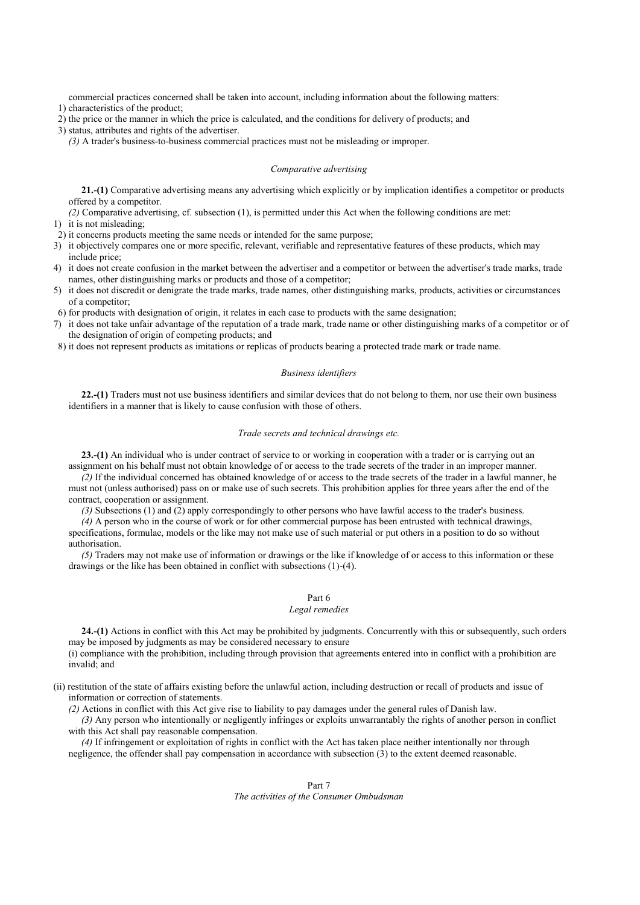commercial practices concerned shall be taken into account, including information about the following matters: 1) characteristics of the product;

2) the price or the manner in which the price is calculated, and the conditions for delivery of products; and

3) status, attributes and rights of the advertiser.

*(3)* A trader's business-to-business commercial practices must not be misleading or improper.

### *Comparative advertising*

**21.-(1)** Comparative advertising means any advertising which explicitly or by implication identifies a competitor or products offered by a competitor.

*(2)* Comparative advertising, cf. subsection (1), is permitted under this Act when the following conditions are met:

1) it is not misleading;

2) it concerns products meeting the same needs or intended for the same purpose;

- 3) it objectively compares one or more specific, relevant, verifiable and representative features of these products, which may include price;
- 4) it does not create confusion in the market between the advertiser and a competitor or between the advertiser's trade marks, trade names, other distinguishing marks or products and those of a competitor;
- 5) it does not discredit or denigrate the trade marks, trade names, other distinguishing marks, products, activities or circumstances of a competitor;

6) for products with designation of origin, it relates in each case to products with the same designation;

- 7) it does not take unfair advantage of the reputation of a trade mark, trade name or other distinguishing marks of a competitor or of the designation of origin of competing products; and
- 8) it does not represent products as imitations or replicas of products bearing a protected trade mark or trade name.

## *Business identifiers*

**22.-(1)** Traders must not use business identifiers and similar devices that do not belong to them, nor use their own business identifiers in a manner that is likely to cause confusion with those of others.

### *Trade secrets and technical drawings etc.*

**23.-(1)** An individual who is under contract of service to or working in cooperation with a trader or is carrying out an assignment on his behalf must not obtain knowledge of or access to the trade secrets of the trader in an improper manner.

*(2)* If the individual concerned has obtained knowledge of or access to the trade secrets of the trader in a lawful manner, he must not (unless authorised) pass on or make use of such secrets. This prohibition applies for three years after the end of the contract, cooperation or assignment.

*(3)* Subsections (1) and (2) apply correspondingly to other persons who have lawful access to the trader's business.

*(4)* A person who in the course of work or for other commercial purpose has been entrusted with technical drawings, specifications, formulae, models or the like may not make use of such material or put others in a position to do so without authorisation.

*(5)* Traders may not make use of information or drawings or the like if knowledge of or access to this information or these drawings or the like has been obtained in conflict with subsections (1)-(4).

## Part 6

## *Legal remedies*

**24.-(1)** Actions in conflict with this Act may be prohibited by judgments. Concurrently with this or subsequently, such orders may be imposed by judgments as may be considered necessary to ensure

(i) compliance with the prohibition, including through provision that agreements entered into in conflict with a prohibition are invalid; and

(ii) restitution of the state of affairs existing before the unlawful action, including destruction or recall of products and issue of information or correction of statements.

*(2)* Actions in conflict with this Act give rise to liability to pay damages under the general rules of Danish law.

*(3)* Any person who intentionally or negligently infringes or exploits unwarrantably the rights of another person in conflict with this Act shall pay reasonable compensation.

*(4)* If infringement or exploitation of rights in conflict with the Act has taken place neither intentionally nor through negligence, the offender shall pay compensation in accordance with subsection (3) to the extent deemed reasonable.

## Part 7

## *The activities of the Consumer Ombudsman*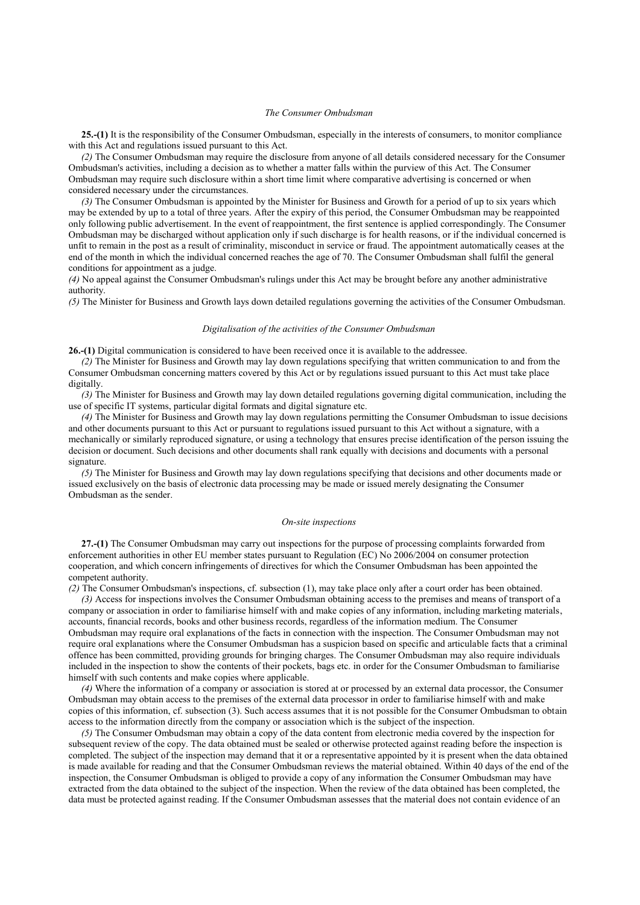### *The Consumer Ombudsman*

**25.-(1)** It is the responsibility of the Consumer Ombudsman, especially in the interests of consumers, to monitor compliance with this Act and regulations issued pursuant to this Act.

*(2)* The Consumer Ombudsman may require the disclosure from anyone of all details considered necessary for the Consumer Ombudsman's activities, including a decision as to whether a matter falls within the purview of this Act. The Consumer Ombudsman may require such disclosure within a short time limit where comparative advertising is concerned or when considered necessary under the circumstances.

*(3)* The Consumer Ombudsman is appointed by the Minister for Business and Growth for a period of up to six years which may be extended by up to a total of three years. After the expiry of this period, the Consumer Ombudsman may be reappointed only following public advertisement. In the event of reappointment, the first sentence is applied correspondingly. The Consumer Ombudsman may be discharged without application only if such discharge is for health reasons, or if the individual concerned is unfit to remain in the post as a result of criminality, misconduct in service or fraud. The appointment automatically ceases at the end of the month in which the individual concerned reaches the age of 70. The Consumer Ombudsman shall fulfil the general conditions for appointment as a judge.

*(4)* No appeal against the Consumer Ombudsman's rulings under this Act may be brought before any another administrative authority.

*(5)* The Minister for Business and Growth lays down detailed regulations governing the activities of the Consumer Ombudsman.

### *Digitalisation of the activities of the Consumer Ombudsman*

**26.-(1)** Digital communication is considered to have been received once it is available to the addressee.

*(2)* The Minister for Business and Growth may lay down regulations specifying that written communication to and from the Consumer Ombudsman concerning matters covered by this Act or by regulations issued pursuant to this Act must take place digitally.

*(3)* The Minister for Business and Growth may lay down detailed regulations governing digital communication, including the use of specific IT systems, particular digital formats and digital signature etc.

*(4)* The Minister for Business and Growth may lay down regulations permitting the Consumer Ombudsman to issue decisions and other documents pursuant to this Act or pursuant to regulations issued pursuant to this Act without a signature, with a mechanically or similarly reproduced signature, or using a technology that ensures precise identification of the person issuing the decision or document. Such decisions and other documents shall rank equally with decisions and documents with a personal signature.

*(5)* The Minister for Business and Growth may lay down regulations specifying that decisions and other documents made or issued exclusively on the basis of electronic data processing may be made or issued merely designating the Consumer Ombudsman as the sender.

### *On-site inspections*

**27.-(1)** The Consumer Ombudsman may carry out inspections for the purpose of processing complaints forwarded from enforcement authorities in other EU member states pursuant to Regulation (EC) No 2006/2004 on consumer protection cooperation, and which concern infringements of directives for which the Consumer Ombudsman has been appointed the competent authority.

*(2)* The Consumer Ombudsman's inspections, cf. subsection (1), may take place only after a court order has been obtained.

*(3)* Access for inspections involves the Consumer Ombudsman obtaining access to the premises and means of transport of a company or association in order to familiarise himself with and make copies of any information, including marketing materials, accounts, financial records, books and other business records, regardless of the information medium. The Consumer Ombudsman may require oral explanations of the facts in connection with the inspection. The Consumer Ombudsman may not require oral explanations where the Consumer Ombudsman has a suspicion based on specific and articulable facts that a criminal offence has been committed, providing grounds for bringing charges. The Consumer Ombudsman may also require individuals included in the inspection to show the contents of their pockets, bags etc. in order for the Consumer Ombudsman to familiarise himself with such contents and make copies where applicable.

*(4)* Where the information of a company or association is stored at or processed by an external data processor, the Consumer Ombudsman may obtain access to the premises of the external data processor in order to familiarise himself with and make copies of this information, cf. subsection (3). Such access assumes that it is not possible for the Consumer Ombudsman to obtain access to the information directly from the company or association which is the subject of the inspection.

*(5)* The Consumer Ombudsman may obtain a copy of the data content from electronic media covered by the inspection for subsequent review of the copy. The data obtained must be sealed or otherwise protected against reading before the inspection is completed. The subject of the inspection may demand that it or a representative appointed by it is present when the data obtained is made available for reading and that the Consumer Ombudsman reviews the material obtained. Within 40 days of the end of the inspection, the Consumer Ombudsman is obliged to provide a copy of any information the Consumer Ombudsman may have extracted from the data obtained to the subject of the inspection. When the review of the data obtained has been completed, the data must be protected against reading. If the Consumer Ombudsman assesses that the material does not contain evidence of an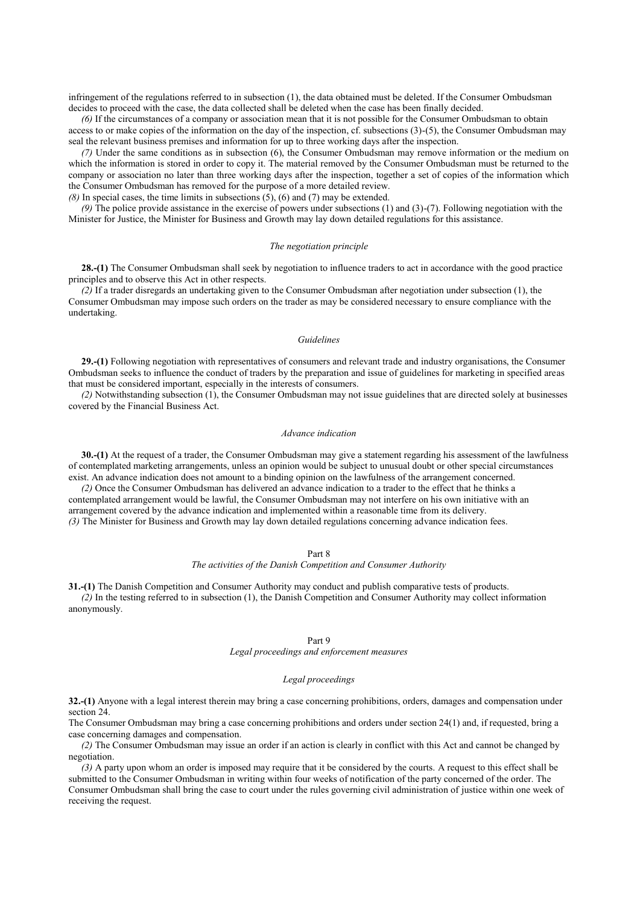infringement of the regulations referred to in subsection (1), the data obtained must be deleted. If the Consumer Ombudsman decides to proceed with the case, the data collected shall be deleted when the case has been finally decided.

*(6)* If the circumstances of a company or association mean that it is not possible for the Consumer Ombudsman to obtain access to or make copies of the information on the day of the inspection, cf. subsections (3)-(5), the Consumer Ombudsman may seal the relevant business premises and information for up to three working days after the inspection.

*(7)* Under the same conditions as in subsection (6), the Consumer Ombudsman may remove information or the medium on which the information is stored in order to copy it. The material removed by the Consumer Ombudsman must be returned to the company or association no later than three working days after the inspection, together a set of copies of the information which the Consumer Ombudsman has removed for the purpose of a more detailed review.

 $(8)$  In special cases, the time limits in subsections  $(5)$ ,  $(6)$  and  $(7)$  may be extended.

*(9)* The police provide assistance in the exercise of powers under subsections (1) and (3)-(7). Following negotiation with the Minister for Justice, the Minister for Business and Growth may lay down detailed regulations for this assistance.

### *The negotiation principle*

**28.-(1)** The Consumer Ombudsman shall seek by negotiation to influence traders to act in accordance with the good practice principles and to observe this Act in other respects.

*(2)* If a trader disregards an undertaking given to the Consumer Ombudsman after negotiation under subsection (1), the Consumer Ombudsman may impose such orders on the trader as may be considered necessary to ensure compliance with the undertaking.

### *Guidelines*

**29.-(1)** Following negotiation with representatives of consumers and relevant trade and industry organisations, the Consumer Ombudsman seeks to influence the conduct of traders by the preparation and issue of guidelines for marketing in specified areas that must be considered important, especially in the interests of consumers.

*(2)* Notwithstanding subsection (1), the Consumer Ombudsman may not issue guidelines that are directed solely at businesses covered by the Financial Business Act.

#### *Advance indication*

**30.-(1)** At the request of a trader, the Consumer Ombudsman may give a statement regarding his assessment of the lawfulness of contemplated marketing arrangements, unless an opinion would be subject to unusual doubt or other special circumstances exist. An advance indication does not amount to a binding opinion on the lawfulness of the arrangement concerned.

*(2)* Once the Consumer Ombudsman has delivered an advance indication to a trader to the effect that he thinks a contemplated arrangement would be lawful, the Consumer Ombudsman may not interfere on his own initiative with an arrangement covered by the advance indication and implemented within a reasonable time from its delivery. *(3)* The Minister for Business and Growth may lay down detailed regulations concerning advance indication fees.

#### Part 8

*The activities of the Danish Competition and Consumer Authority*

**31.-(1)** The Danish Competition and Consumer Authority may conduct and publish comparative tests of products. *(2)* In the testing referred to in subsection (1), the Danish Competition and Consumer Authority may collect information anonymously.

### Part 9

*Legal proceedings and enforcement measures*

## *Legal proceedings*

**32.-(1)** Anyone with a legal interest therein may bring a case concerning prohibitions, orders, damages and compensation under section 24.

The Consumer Ombudsman may bring a case concerning prohibitions and orders under section 24(1) and, if requested, bring a case concerning damages and compensation.

*(2)* The Consumer Ombudsman may issue an order if an action is clearly in conflict with this Act and cannot be changed by negotiation.

*(3)* A party upon whom an order is imposed may require that it be considered by the courts. A request to this effect shall be submitted to the Consumer Ombudsman in writing within four weeks of notification of the party concerned of the order. The Consumer Ombudsman shall bring the case to court under the rules governing civil administration of justice within one week of receiving the request.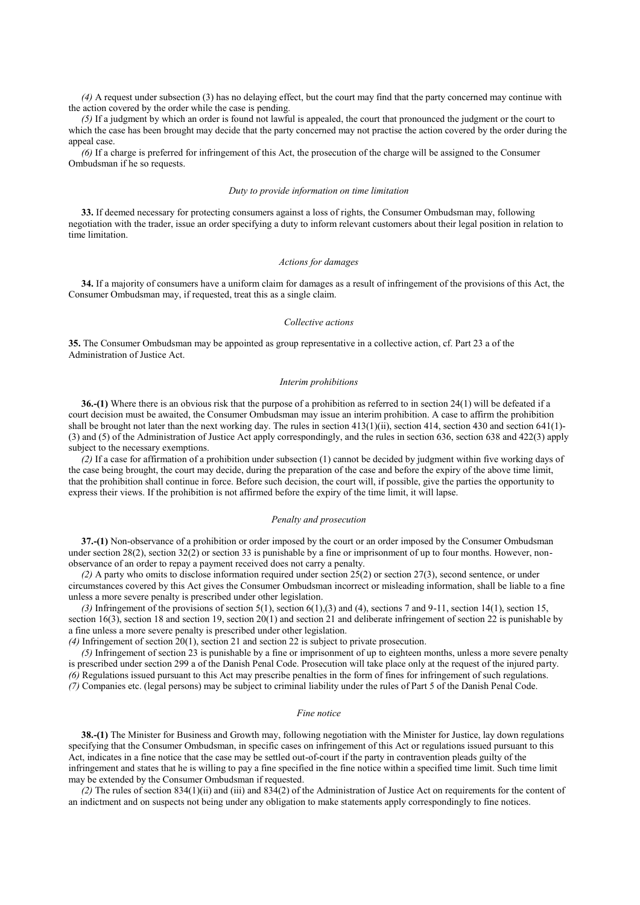*(4)* A request under subsection (3) has no delaying effect, but the court may find that the party concerned may continue with the action covered by the order while the case is pending.

*(5)* If a judgment by which an order is found not lawful is appealed, the court that pronounced the judgment or the court to which the case has been brought may decide that the party concerned may not practise the action covered by the order during the appeal case.

*(6)* If a charge is preferred for infringement of this Act, the prosecution of the charge will be assigned to the Consumer Ombudsman if he so requests.

#### *Duty to provide information on time limitation*

**33.** If deemed necessary for protecting consumers against a loss of rights, the Consumer Ombudsman may, following negotiation with the trader, issue an order specifying a duty to inform relevant customers about their legal position in relation to time limitation.

#### *Actions for damages*

**34.** If a majority of consumers have a uniform claim for damages as a result of infringement of the provisions of this Act, the Consumer Ombudsman may, if requested, treat this as a single claim.

### *Collective actions*

**35.** The Consumer Ombudsman may be appointed as group representative in a collective action, cf. Part 23 a of the Administration of Justice Act.

#### *Interim prohibitions*

**36.-(1)** Where there is an obvious risk that the purpose of a prohibition as referred to in section 24(1) will be defeated if a court decision must be awaited, the Consumer Ombudsman may issue an interim prohibition. A case to affirm the prohibition shall be brought not later than the next working day. The rules in section  $413(1)(ii)$ , section  $414$ , section  $430$  and section  $641(1)$ -(3) and (5) of the Administration of Justice Act apply correspondingly, and the rules in section 636, section 638 and 422(3) apply subject to the necessary exemptions.

*(2)* If a case for affirmation of a prohibition under subsection (1) cannot be decided by judgment within five working days of the case being brought, the court may decide, during the preparation of the case and before the expiry of the above time limit, that the prohibition shall continue in force. Before such decision, the court will, if possible, give the parties the opportunity to express their views. If the prohibition is not affirmed before the expiry of the time limit, it will lapse.

### *Penalty and prosecution*

**37.-(1)** Non-observance of a prohibition or order imposed by the court or an order imposed by the Consumer Ombudsman under section 28(2), section 32(2) or section 33 is punishable by a fine or imprisonment of up to four months. However, nonobservance of an order to repay a payment received does not carry a penalty.

*(2)* A party who omits to disclose information required under section 25(2) or section 27(3), second sentence, or under circumstances covered by this Act gives the Consumer Ombudsman incorrect or misleading information, shall be liable to a fine unless a more severe penalty is prescribed under other legislation.

*(3)* Infringement of the provisions of section 5(1), section 6(1),(3) and (4), sections 7 and 9-11, section 14(1), section 15, section 16(3), section 18 and section 19, section 20(1) and section 21 and deliberate infringement of section 22 is punishable by a fine unless a more severe penalty is prescribed under other legislation.

*(4)* Infringement of section 20(1), section 21 and section 22 is subject to private prosecution.

*(5)* Infringement of section 23 is punishable by a fine or imprisonment of up to eighteen months, unless a more severe penalty is prescribed under section 299 a of the Danish Penal Code. Prosecution will take place only at the request of the injured party. *(6)* Regulations issued pursuant to this Act may prescribe penalties in the form of fines for infringement of such regulations. *(7)* Companies etc. (legal persons) may be subject to criminal liability under the rules of Part 5 of the Danish Penal Code.

#### *Fine notice*

**38.-(1)** The Minister for Business and Growth may, following negotiation with the Minister for Justice, lay down regulations specifying that the Consumer Ombudsman, in specific cases on infringement of this Act or regulations issued pursuant to this Act, indicates in a fine notice that the case may be settled out-of-court if the party in contravention pleads guilty of the infringement and states that he is willing to pay a fine specified in the fine notice within a specified time limit. Such time limit may be extended by the Consumer Ombudsman if requested.

*(2)* The rules of section 834(1)(ii) and (iii) and 834(2) of the Administration of Justice Act on requirements for the content of an indictment and on suspects not being under any obligation to make statements apply correspondingly to fine notices.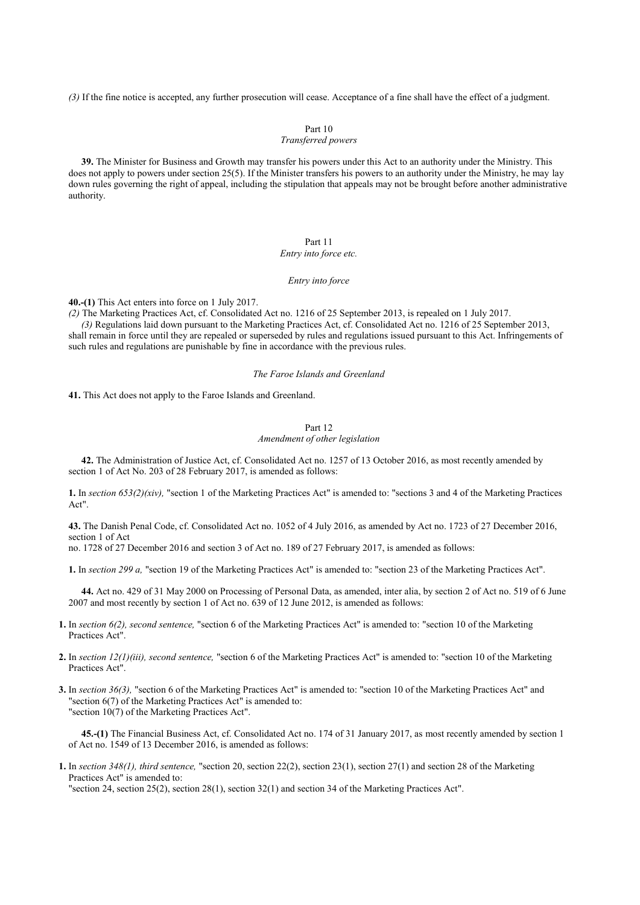*(3)* If the fine notice is accepted, any further prosecution will cease. Acceptance of a fine shall have the effect of a judgment.

## Part 10

## *Transferred powers*

**39.** The Minister for Business and Growth may transfer his powers under this Act to an authority under the Ministry. This does not apply to powers under section 25(5). If the Minister transfers his powers to an authority under the Ministry, he may lay down rules governing the right of appeal, including the stipulation that appeals may not be brought before another administrative authority.

### Part 11

## *Entry into force etc.*

## *Entry into force*

**40.-(1)** This Act enters into force on 1 July 2017.

*(2)* The Marketing Practices Act, cf. Consolidated Act no. 1216 of 25 September 2013, is repealed on 1 July 2017.

*(3)* Regulations laid down pursuant to the Marketing Practices Act, cf. Consolidated Act no. 1216 of 25 September 2013, shall remain in force until they are repealed or superseded by rules and regulations issued pursuant to this Act. Infringements of such rules and regulations are punishable by fine in accordance with the previous rules.

## *The Faroe Islands and Greenland*

**41.** This Act does not apply to the Faroe Islands and Greenland.

## Part 12

## *Amendment of other legislation*

**42.** The Administration of Justice Act, cf. Consolidated Act no. 1257 of 13 October 2016, as most recently amended by section 1 of Act No. 203 of 28 February 2017, is amended as follows:

**1.** In *section 653(2)(xiv),* "section 1 of the Marketing Practices Act" is amended to: "sections 3 and 4 of the Marketing Practices Act".

**43.** The Danish Penal Code, cf. Consolidated Act no. 1052 of 4 July 2016, as amended by Act no. 1723 of 27 December 2016, section 1 of Act

no. 1728 of 27 December 2016 and section 3 of Act no. 189 of 27 February 2017, is amended as follows:

**1.** In *section 299 a,* "section 19 of the Marketing Practices Act" is amended to: "section 23 of the Marketing Practices Act".

**44.** Act no. 429 of 31 May 2000 on Processing of Personal Data, as amended, inter alia, by section 2 of Act no. 519 of 6 June 2007 and most recently by section 1 of Act no. 639 of 12 June 2012, is amended as follows:

- **1.** In *section 6(2), second sentence,* "section 6 of the Marketing Practices Act" is amended to: "section 10 of the Marketing Practices Act".
- **2.** In *section 12(1)(iii), second sentence,* "section 6 of the Marketing Practices Act" is amended to: "section 10 of the Marketing Practices Act".
- **3.** In *section 36(3),* "section 6 of the Marketing Practices Act" is amended to: "section 10 of the Marketing Practices Act" and "section 6(7) of the Marketing Practices Act" is amended to: "section 10(7) of the Marketing Practices Act".

**45.-(1)** The Financial Business Act, cf. Consolidated Act no. 174 of 31 January 2017, as most recently amended by section 1 of Act no. 1549 of 13 December 2016, is amended as follows:

**1.** In *section 348(1), third sentence,* "section 20, section 22(2), section 23(1), section 27(1) and section 28 of the Marketing Practices Act" is amended to:

"section 24, section 25(2), section 28(1), section 32(1) and section 34 of the Marketing Practices Act".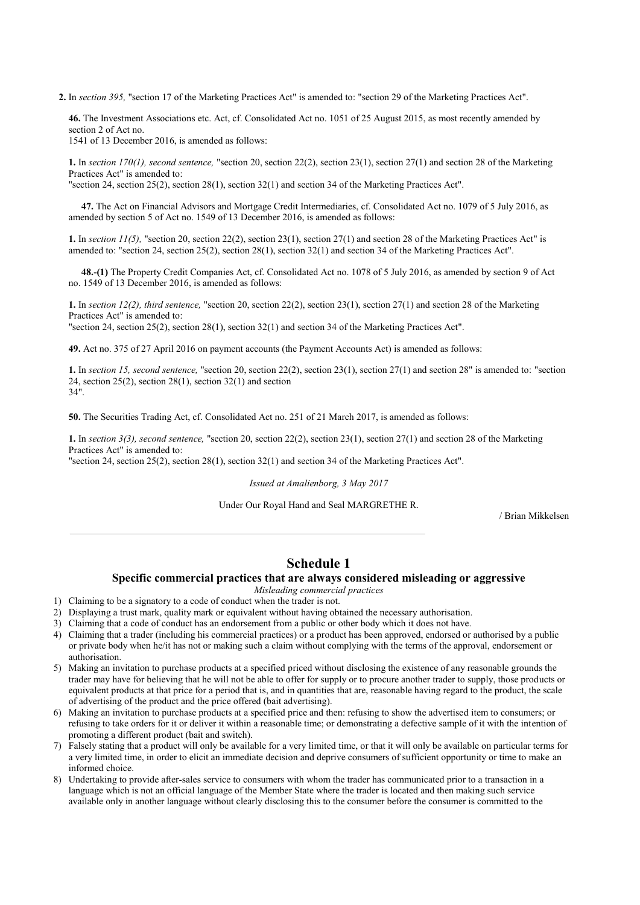**2.** In *section 395,* "section 17 of the Marketing Practices Act" is amended to: "section 29 of the Marketing Practices Act".

**46.** The Investment Associations etc. Act, cf. Consolidated Act no. 1051 of 25 August 2015, as most recently amended by section 2 of Act no. 1541 of 13 December 2016, is amended as follows:

**1.** In *section 170(1), second sentence,* "section 20, section 22(2), section 23(1), section 27(1) and section 28 of the Marketing Practices Act" is amended to:

"section 24, section 25(2), section 28(1), section 32(1) and section 34 of the Marketing Practices Act".

**47.** The Act on Financial Advisors and Mortgage Credit Intermediaries, cf. Consolidated Act no. 1079 of 5 July 2016, as amended by section 5 of Act no. 1549 of 13 December 2016, is amended as follows:

**1.** In *section 11(5),* "section 20, section 22(2), section 23(1), section 27(1) and section 28 of the Marketing Practices Act" is amended to: "section 24, section 25(2), section 28(1), section 32(1) and section 34 of the Marketing Practices Act".

**48.-(1)** The Property Credit Companies Act, cf. Consolidated Act no. 1078 of 5 July 2016, as amended by section 9 of Act no. 1549 of 13 December 2016, is amended as follows:

**1.** In *section 12(2), third sentence,* "section 20, section 22(2), section 23(1), section 27(1) and section 28 of the Marketing Practices Act" is amended to: "section 24, section 25(2), section 28(1), section 32(1) and section 34 of the Marketing Practices Act".

**49.** Act no. 375 of 27 April 2016 on payment accounts (the Payment Accounts Act) is amended as follows:

**1.** In *section 15, second sentence,* "section 20, section 22(2), section 23(1), section 27(1) and section 28" is amended to: "section 24, section  $25(2)$ , section  $28(1)$ , section  $32(1)$  and section 34".

**50.** The Securities Trading Act, cf. Consolidated Act no. 251 of 21 March 2017, is amended as follows:

**1.** In *section 3(3), second sentence,* "section 20, section 22(2), section 23(1), section 27(1) and section 28 of the Marketing Practices Act" is amended to:

"section 24, section 25(2), section 28(1), section 32(1) and section 34 of the Marketing Practices Act".

*Issued at Amalienborg, 3 May 2017*

Under Our Royal Hand and Seal MARGRETHE R.

/ Brian Mikkelsen

# **Schedule 1**

## **Specific commercial practices that are always considered misleading or aggressive**

*Misleading commercial practices*

- 1) Claiming to be a signatory to a code of conduct when the trader is not.
- 2) Displaying a trust mark, quality mark or equivalent without having obtained the necessary authorisation.
- 3) Claiming that a code of conduct has an endorsement from a public or other body which it does not have.
- 4) Claiming that a trader (including his commercial practices) or a product has been approved, endorsed or authorised by a public or private body when he/it has not or making such a claim without complying with the terms of the approval, endorsement or authorisation.
- 5) Making an invitation to purchase products at a specified priced without disclosing the existence of any reasonable grounds the trader may have for believing that he will not be able to offer for supply or to procure another trader to supply, those products or equivalent products at that price for a period that is, and in quantities that are, reasonable having regard to the product, the scale of advertising of the product and the price offered (bait advertising).
- 6) Making an invitation to purchase products at a specified price and then: refusing to show the advertised item to consumers; or refusing to take orders for it or deliver it within a reasonable time; or demonstrating a defective sample of it with the intention of promoting a different product (bait and switch).
- 7) Falsely stating that a product will only be available for a very limited time, or that it will only be available on particular terms for a very limited time, in order to elicit an immediate decision and deprive consumers of sufficient opportunity or time to make an informed choice.
- 8) Undertaking to provide after-sales service to consumers with whom the trader has communicated prior to a transaction in a language which is not an official language of the Member State where the trader is located and then making such service available only in another language without clearly disclosing this to the consumer before the consumer is committed to the